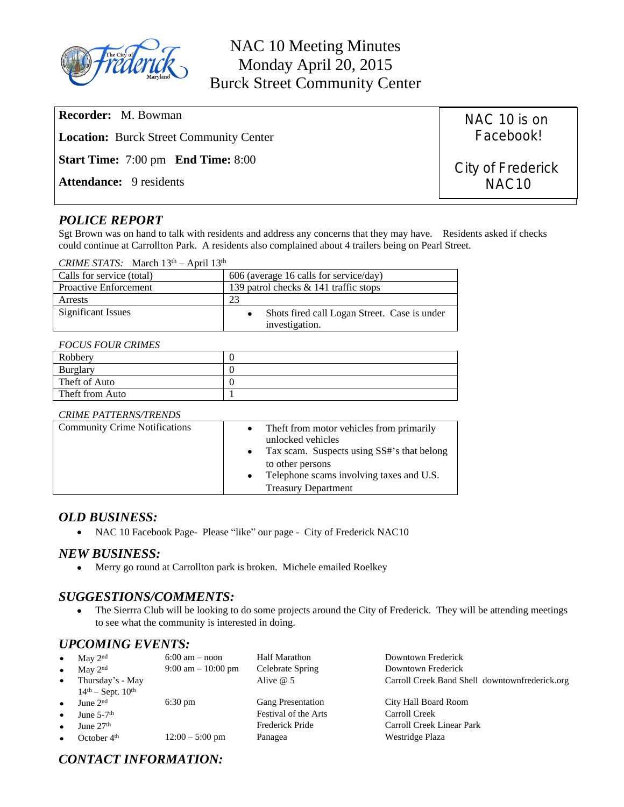

| <b>Recorder:</b> M. Bowman                                  | NAC 10 is on      |  |
|-------------------------------------------------------------|-------------------|--|
| Facebook!<br><b>Location:</b> Burck Street Community Center |                   |  |
| <b>Start Time:</b> 7:00 pm <b>End Time:</b> 8:00            | City of Frederick |  |
| <b>Attendance:</b> 9 residents                              | NAC <sub>10</sub> |  |

# *POLICE REPORT*

Sgt Brown was on hand to talk with residents and address any concerns that they may have. Residents asked if checks could continue at Carrollton Park. A residents also complained about 4 trailers being on Pearl Street.

| <i>CRIME STATS:</i> March $13th - April 13th$ |  |
|-----------------------------------------------|--|
|                                               |  |

| Calls for service (total)    | 606 (average 16 calls for service/day)                         |  |
|------------------------------|----------------------------------------------------------------|--|
| <b>Proactive Enforcement</b> | 139 patrol checks & 141 traffic stops                          |  |
| Arrests                      |                                                                |  |
| Significant Issues           | Shots fired call Logan Street. Case is under<br>investigation. |  |

#### *FOCUS FOUR CRIMES*

| Robbery         |  |
|-----------------|--|
| <b>Burglary</b> |  |
| Theft of Auto   |  |
| Theft from Auto |  |

### *CRIME PATTERNS/TRENDS*

| <b>Community Crime Notifications</b> | The f from motor vehicles from primarily<br>$\bullet$<br>unlocked vehicles<br>Tax scam. Suspects using SS#'s that belong<br>to other persons<br>Telephone scams involving taxes and U.S.<br>$\bullet$<br><b>Treasury Department</b> |
|--------------------------------------|-------------------------------------------------------------------------------------------------------------------------------------------------------------------------------------------------------------------------------------|
|                                      |                                                                                                                                                                                                                                     |

## *OLD BUSINESS:*

NAC 10 Facebook Page- Please "like" our page - City of Frederick NAC10

## *NEW BUSINESS:*

Merry go round at Carrollton park is broken. Michele emailed Roelkey

# *SUGGESTIONS/COMMENTS:*

• The Sierrra Club will be looking to do some projects around the City of Frederick. They will be attending meetings to see what the community is interested in doing.

# *UPCOMING EVENTS:*

| $\bullet$ | May $2nd$                | $6:00$ am $-$ noon                   | <b>Half Marathon</b>     | Downtown Frederick                             |
|-----------|--------------------------|--------------------------------------|--------------------------|------------------------------------------------|
| $\bullet$ | May $2nd$                | $9:00 \text{ am} - 10:00 \text{ pm}$ | Celebrate Spring         | Downtown Frederick                             |
| $\bullet$ | Thursday's - May         |                                      | Alive $@$ 5              | Carroll Creek Band Shell downtownfrederick.org |
|           | $14th - Sept. 10th$      |                                      |                          |                                                |
| $\bullet$ | June $2nd$               | $6:30 \text{ pm}$                    | <b>Gang Presentation</b> | City Hall Board Room                           |
| $\bullet$ | June $5-7$ <sup>th</sup> |                                      | Festival of the Arts     | Carroll Creek                                  |
| $\bullet$ | June $27th$              |                                      | Frederick Pride          | Carroll Creek Linear Park                      |
| $\bullet$ | October $4th$            | $12:00 - 5:00$ pm                    | Panagea                  | Westridge Plaza                                |

# *CONTACT INFORMATION:*